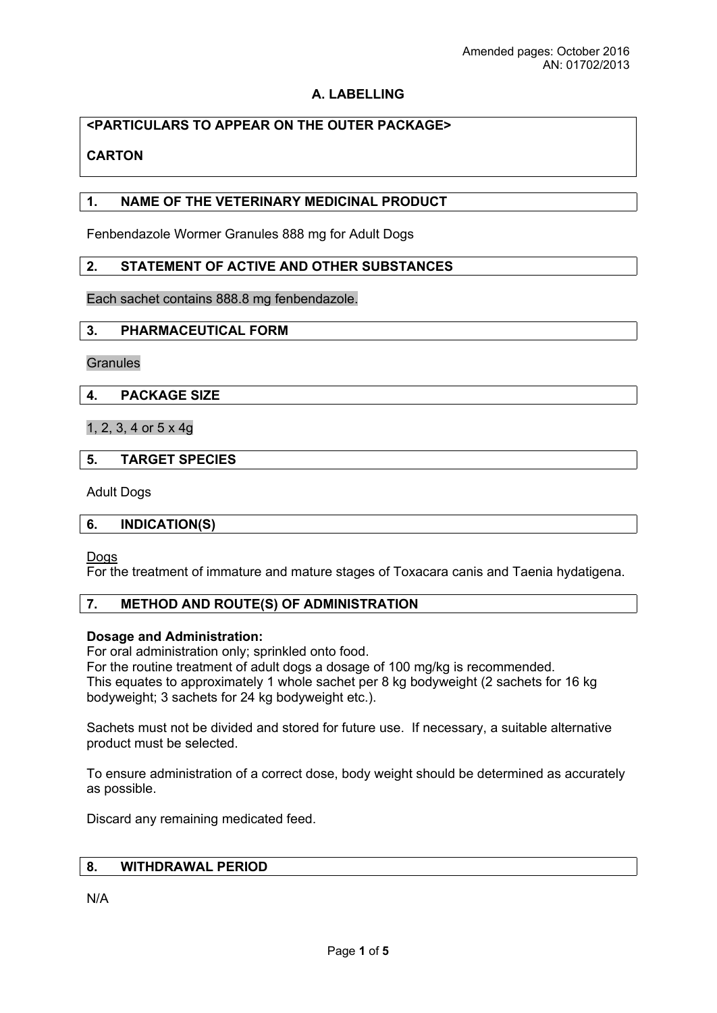## **A. LABELLING**

# **<PARTICULARS TO APPEAR ON THE OUTER PACKAGE>**

# **CARTON**

## **1. NAME OF THE VETERINARY MEDICINAL PRODUCT**

Fenbendazole Wormer Granules 888 mg for Adult Dogs

### **2. STATEMENT OF ACTIVE AND OTHER SUBSTANCES**

Each sachet contains 888.8 mg fenbendazole.

#### **3. PHARMACEUTICAL FORM**

**Granules** 

### **4. PACKAGE SIZE**

1, 2, 3, 4 or 5 x 4g

### **5. TARGET SPECIES**

Adult Dogs

#### **6. INDICATION(S)**

Dogs

For the treatment of immature and mature stages of Toxacara canis and Taenia hydatigena.

## **7. METHOD AND ROUTE(S) OF ADMINISTRATION**

#### **Dosage and Administration:**

For oral administration only; sprinkled onto food.

For the routine treatment of adult dogs a dosage of 100 mg/kg is recommended. This equates to approximately 1 whole sachet per 8 kg bodyweight (2 sachets for 16 kg bodyweight; 3 sachets for 24 kg bodyweight etc.).

Sachets must not be divided and stored for future use. If necessary, a suitable alternative product must be selected.

To ensure administration of a correct dose, body weight should be determined as accurately as possible.

Discard any remaining medicated feed.

# **8. WITHDRAWAL PERIOD**

N/A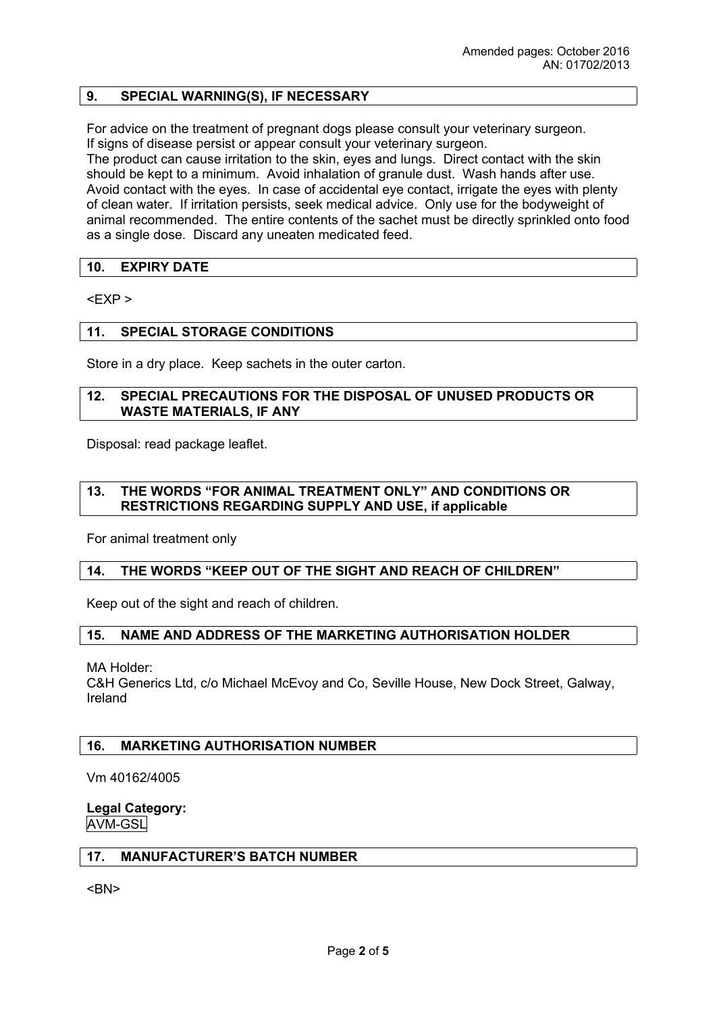## **9. SPECIAL WARNING(S), IF NECESSARY**

For advice on the treatment of pregnant dogs please consult your veterinary surgeon. If signs of disease persist or appear consult your veterinary surgeon. The product can cause irritation to the skin, eyes and lungs. Direct contact with the skin should be kept to a minimum. Avoid inhalation of granule dust. Wash hands after use. Avoid contact with the eyes. In case of accidental eye contact, irrigate the eyes with plenty of clean water. If irritation persists, seek medical advice. Only use for the bodyweight of animal recommended. The entire contents of the sachet must be directly sprinkled onto food as a single dose. Discard any uneaten medicated feed.

### **10. EXPIRY DATE**

 $<$ FXP  $>$ 

#### **11. SPECIAL STORAGE CONDITIONS**

Store in a dry place. Keep sachets in the outer carton.

#### **12. SPECIAL PRECAUTIONS FOR THE DISPOSAL OF UNUSED PRODUCTS OR WASTE MATERIALS, IF ANY**

Disposal: read package leaflet.

## **13. THE WORDS "FOR ANIMAL TREATMENT ONLY" AND CONDITIONS OR RESTRICTIONS REGARDING SUPPLY AND USE, if applicable**

For animal treatment only

#### **14. THE WORDS "KEEP OUT OF THE SIGHT AND REACH OF CHILDREN"**

Keep out of the sight and reach of children.

#### **15. NAME AND ADDRESS OF THE MARKETING AUTHORISATION HOLDER**

MA Holder:

C&H Generics Ltd, c/o Michael McEvoy and Co, Seville House, New Dock Street, Galway, Ireland

#### **16. MARKETING AUTHORISATION NUMBER**

Vm 40162/4005

#### **Legal Category:** AVM-GSL

#### **17. MANUFACTURER'S BATCH NUMBER**

<BN>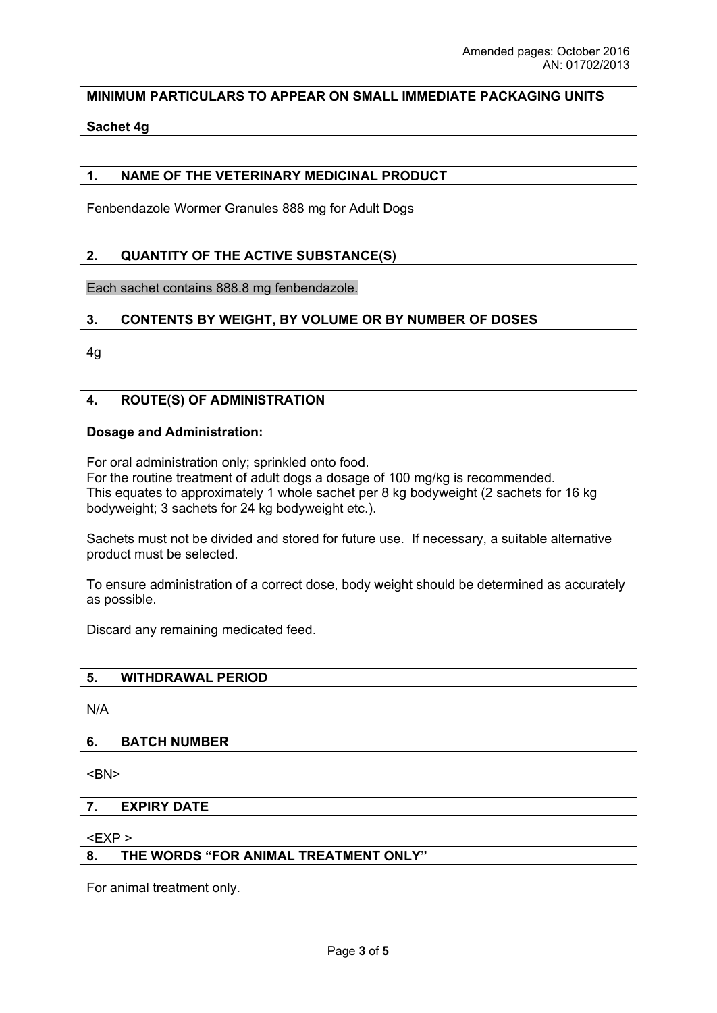**MINIMUM PARTICULARS TO APPEAR ON SMALL IMMEDIATE PACKAGING UNITS** 

## **Sachet 4g**

### **1. NAME OF THE VETERINARY MEDICINAL PRODUCT**

Fenbendazole Wormer Granules 888 mg for Adult Dogs

## **2. QUANTITY OF THE ACTIVE SUBSTANCE(S)**

Each sachet contains 888.8 mg fenbendazole.

### **3. CONTENTS BY WEIGHT, BY VOLUME OR BY NUMBER OF DOSES**

4g

#### **4. ROUTE(S) OF ADMINISTRATION**

#### **Dosage and Administration:**

For oral administration only; sprinkled onto food. For the routine treatment of adult dogs a dosage of 100 mg/kg is recommended. This equates to approximately 1 whole sachet per 8 kg bodyweight (2 sachets for 16 kg bodyweight; 3 sachets for 24 kg bodyweight etc.).

Sachets must not be divided and stored for future use. If necessary, a suitable alternative product must be selected.

To ensure administration of a correct dose, body weight should be determined as accurately as possible.

Discard any remaining medicated feed.

### **5. WITHDRAWAL PERIOD**

N/A

### **6. BATCH NUMBER**

<BN>

#### **7. EXPIRY DATE**

<EXP >

### **8. THE WORDS "FOR ANIMAL TREATMENT ONLY"**

For animal treatment only.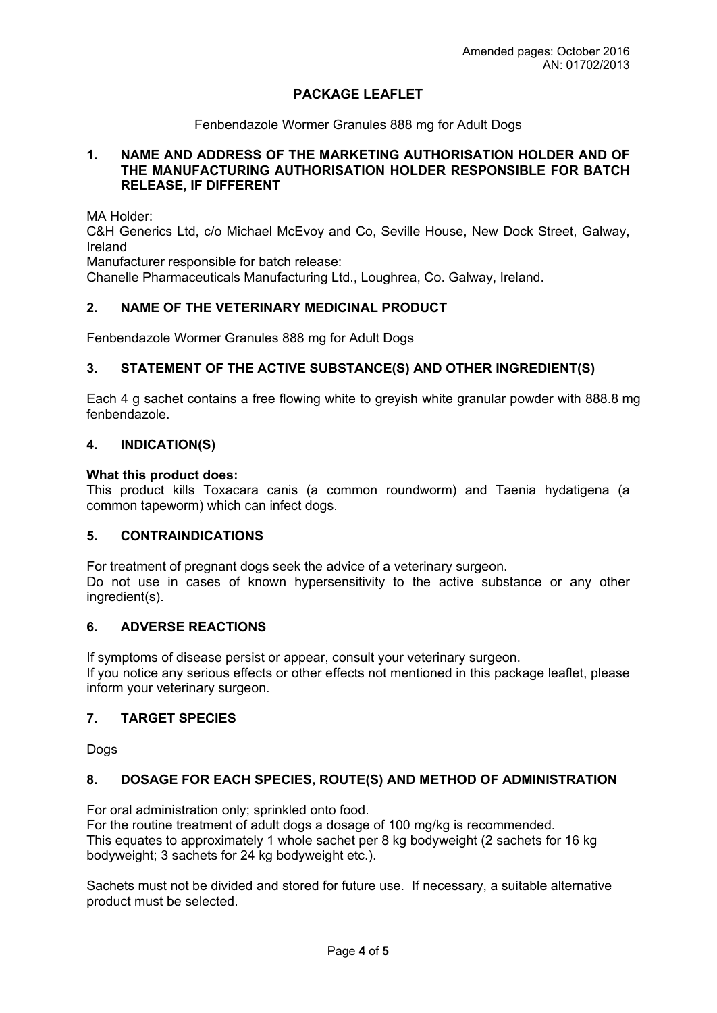## **PACKAGE LEAFLET**

Fenbendazole Wormer Granules 888 mg for Adult Dogs

## **1. NAME AND ADDRESS OF THE MARKETING AUTHORISATION HOLDER AND OF THE MANUFACTURING AUTHORISATION HOLDER RESPONSIBLE FOR BATCH RELEASE, IF DIFFERENT**

MA Holder:

C&H Generics Ltd, c/o Michael McEvoy and Co, Seville House, New Dock Street, Galway, Ireland

Manufacturer responsible for batch release:

Chanelle Pharmaceuticals Manufacturing Ltd., Loughrea, Co. Galway, Ireland.

## **2. NAME OF THE VETERINARY MEDICINAL PRODUCT**

Fenbendazole Wormer Granules 888 mg for Adult Dogs

### **3. STATEMENT OF THE ACTIVE SUBSTANCE(S) AND OTHER INGREDIENT(S)**

Each 4 g sachet contains a free flowing white to greyish white granular powder with 888.8 mg fenbendazole.

### **4. INDICATION(S)**

#### **What this product does:**

This product kills Toxacara canis (a common roundworm) and Taenia hydatigena (a common tapeworm) which can infect dogs.

### **5. CONTRAINDICATIONS**

For treatment of pregnant dogs seek the advice of a veterinary surgeon. Do not use in cases of known hypersensitivity to the active substance or any other ingredient(s).

### **6. ADVERSE REACTIONS**

If symptoms of disease persist or appear, consult your veterinary surgeon. If you notice any serious effects or other effects not mentioned in this package leaflet, please inform your veterinary surgeon.

## **7. TARGET SPECIES**

Dogs

## **8. DOSAGE FOR EACH SPECIES, ROUTE(S) AND METHOD OF ADMINISTRATION**

For oral administration only; sprinkled onto food.

For the routine treatment of adult dogs a dosage of 100 mg/kg is recommended. This equates to approximately 1 whole sachet per 8 kg bodyweight (2 sachets for 16 kg bodyweight; 3 sachets for 24 kg bodyweight etc.).

Sachets must not be divided and stored for future use. If necessary, a suitable alternative product must be selected.